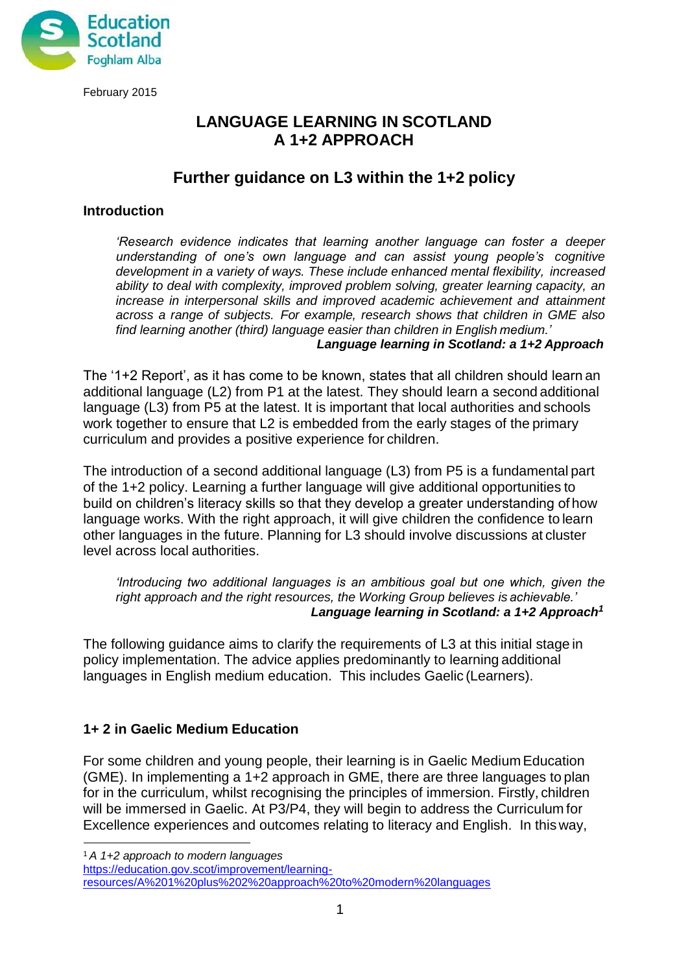

### **LANGUAGE LEARNING IN SCOTLAND A 1+2 APPROACH**

## **Further guidance on L3 within the 1+2 policy**

#### **Introduction**

*'Research evidence indicates that learning another language can foster a deeper understanding of one's own language and can assist young people's cognitive development in a variety of ways. These include enhanced mental flexibility, increased ability to deal with complexity, improved problem solving, greater learning capacity, an increase in interpersonal skills and improved academic achievement and attainment across a range of subjects. For example, research shows that children in GME also find learning another (third) language easier than children in English medium.' Language learning in Scotland: a 1+2 Approach*

The '1+2 Report', as it has come to be known, states that all children should learn an additional language (L2) from P1 at the latest. They should learn a second additional language (L3) from P5 at the latest. It is important that local authorities and schools work together to ensure that L2 is embedded from the early stages of the primary curriculum and provides a positive experience for children.

The introduction of a second additional language (L3) from P5 is a fundamental part of the 1+2 policy. Learning a further language will give additional opportunities to build on children's literacy skills so that they develop a greater understanding of how language works. With the right approach, it will give children the confidence to learn other languages in the future. Planning for L3 should involve discussions at cluster level across local authorities.

*'Introducing two additional languages is an ambitious goal but one which, given the right approach and the right resources, the Working Group believes is achievable.' Language learning in Scotland: a 1+2 Approach[1](#page-0-0)*

The following guidance aims to clarify the requirements of L3 at this initial stage in policy implementation. The advice applies predominantly to learning additional languages in English medium education. This includes Gaelic (Learners).

#### **1+ 2 in Gaelic Medium Education**

For some children and young people, their learning is in Gaelic Medium Education (GME). In implementing a 1+2 approach in GME, there are three languages to plan for in the curriculum, whilst recognising the principles of immersion. Firstly, children will be immersed in Gaelic. At P3/P4, they will begin to address the Curriculum for Excellence experiences and outcomes relating to literacy and English. In thisway,

<span id="page-0-0"></span><sup>1</sup>*A 1+2 approach to modern languages*

[https://education.gov.scot/improvement/learning-](https://education.gov.scot/improvement/learning-resources/A%201%20plus%202%20approach%20to%20modern%20languages)

[resources/A%201%20plus%202%20approach%20to%20modern%20languages](https://education.gov.scot/improvement/learning-resources/A%201%20plus%202%20approach%20to%20modern%20languages)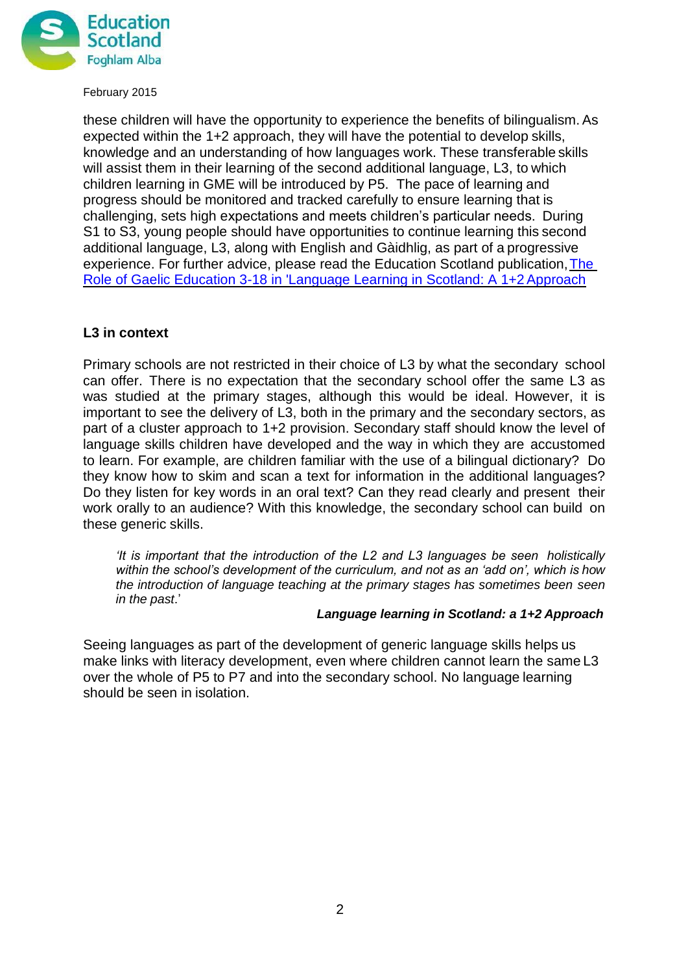

these children will have the opportunity to experience the benefits of bilingualism.As expected within the 1+2 approach, they will have the potential to develop skills, knowledge and an understanding of how languages work. These transferable skills will assist them in their learning of the second additional language, L3, to which children learning in GME will be introduced by P5. The pace of learning and progress should be monitored and tracked carefully to ensure learning that is challenging, sets high expectations and meets children's particular needs. During S1 to S3, young people should have opportunities to continue learning this second additional language, L3, along with English and Gàidhlig, as part of a progressive experience. For further advice, please read the Education Scotland publication[,The](https://education.gov.scot/improvement/practice-exemplars/aite-foghlam-gaidhlig-3-18-ann-an-ionnsachadh-canain-ann-an-alba-modh-obrach-1-2-the-role-of-gaelic-education-3-18) [Role of Gaelic Education 3-18 in 'Language Learning in Scotland: A 1+2Approach](https://education.gov.scot/improvement/practice-exemplars/aite-foghlam-gaidhlig-3-18-ann-an-ionnsachadh-canain-ann-an-alba-modh-obrach-1-2-the-role-of-gaelic-education-3-18)

### **L3 in context**

Primary schools are not restricted in their choice of L3 by what the secondary school can offer. There is no expectation that the secondary school offer the same L3 as was studied at the primary stages, although this would be ideal. However, it is important to see the delivery of L3, both in the primary and the secondary sectors, as part of a cluster approach to 1+2 provision. Secondary staff should know the level of language skills children have developed and the way in which they are accustomed to learn. For example, are children familiar with the use of a bilingual dictionary? Do they know how to skim and scan a text for information in the additional languages? Do they listen for key words in an oral text? Can they read clearly and present their work orally to an audience? With this knowledge, the secondary school can build on these generic skills.

*'It is important that the introduction of the L2 and L3 languages be seen holistically within the school's development of the curriculum, and not as an 'add on', which is how the introduction of language teaching at the primary stages has sometimes been seen in the past*.'

#### *Language learning in Scotland: a 1+2 Approach*

Seeing languages as part of the development of generic language skills helps us make links with literacy development, even where children cannot learn the same L3 over the whole of P5 to P7 and into the secondary school. No language learning should be seen in isolation.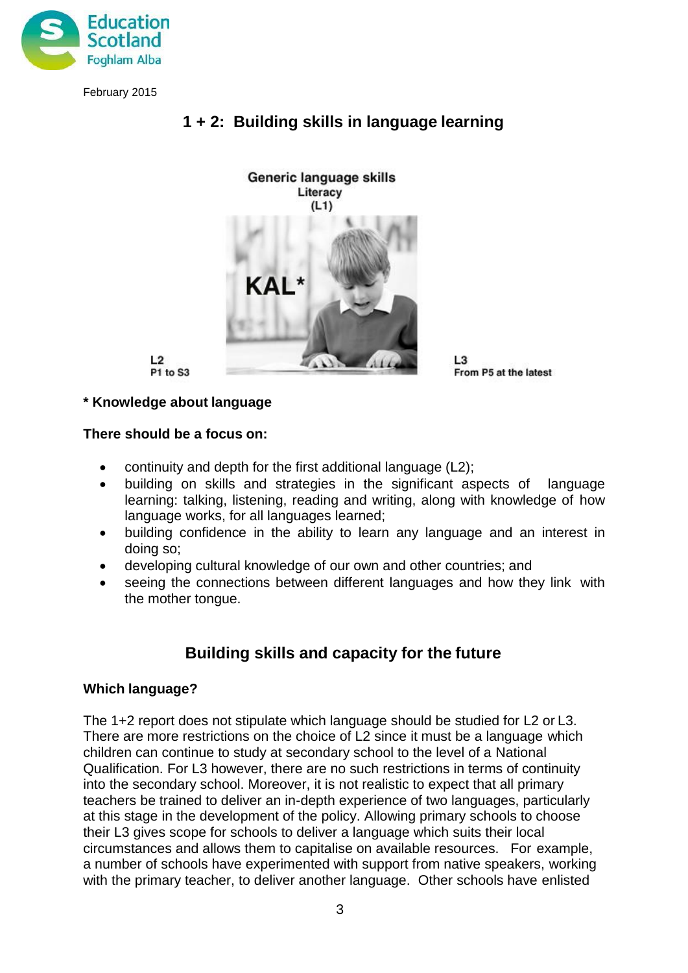



# **1 + 2: Building skills in language learning**

 $L2$ P1 to S3 L3 From P5 at the latest

### **\* Knowledge about language**

#### **There should be a focus on:**

- continuity and depth for the first additional language (L2);
- building on skills and strategies in the significant aspects of language learning: talking, listening, reading and writing, along with knowledge of how language works, for all languages learned;
- building confidence in the ability to learn any language and an interest in doing so;
- developing cultural knowledge of our own and other countries; and
- seeing the connections between different languages and how they link with the mother tongue.

# **Building skills and capacity for the future**

#### **Which language?**

The 1+2 report does not stipulate which language should be studied for L2 or L3. There are more restrictions on the choice of L2 since it must be a language which children can continue to study at secondary school to the level of a National Qualification. For L3 however, there are no such restrictions in terms of continuity into the secondary school. Moreover, it is not realistic to expect that all primary teachers be trained to deliver an in-depth experience of two languages, particularly at this stage in the development of the policy. Allowing primary schools to choose their L3 gives scope for schools to deliver a language which suits their local circumstances and allows them to capitalise on available resources. For example, a number of schools have experimented with support from native speakers, working with the primary teacher, to deliver another language. Other schools have enlisted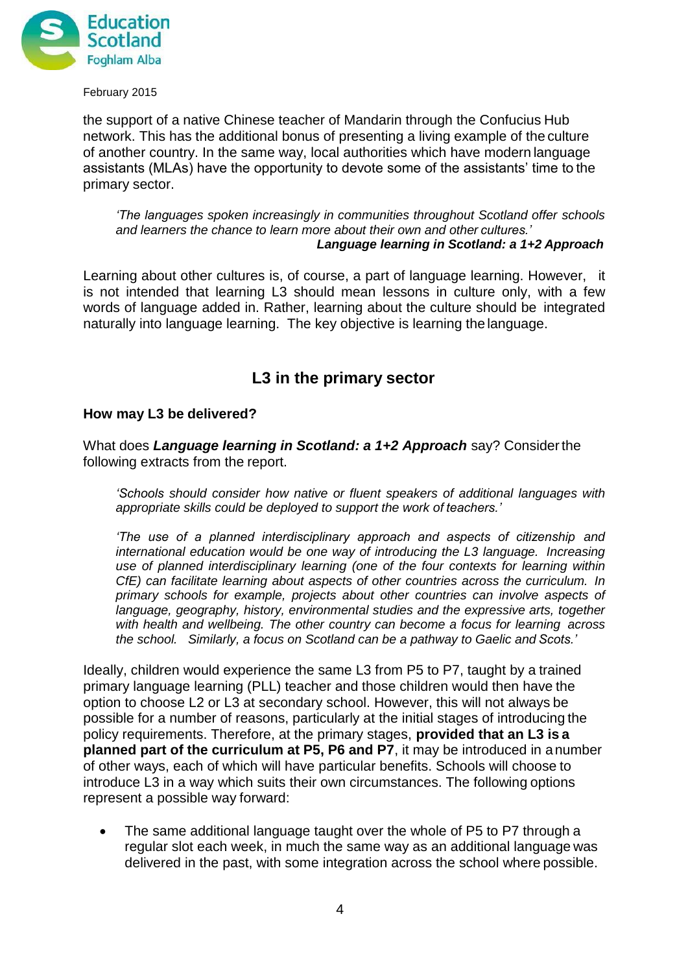

the support of a native Chinese teacher of Mandarin through the Confucius Hub network. This has the additional bonus of presenting a living example of the culture of another country. In the same way, local authorities which have modern language assistants (MLAs) have the opportunity to devote some of the assistants' time to the primary sector.

*'The languages spoken increasingly in communities throughout Scotland offer schools and learners the chance to learn more about their own and other cultures.' Language learning in Scotland: a 1+2 Approach*

Learning about other cultures is, of course, a part of language learning. However, it is not intended that learning L3 should mean lessons in culture only, with a few words of language added in. Rather, learning about the culture should be integrated naturally into language learning. The key objective is learning the language.

## **L3 in the primary sector**

#### **How may L3 be delivered?**

What does *Language learning in Scotland: a 1+2 Approach* say? Considerthe following extracts from the report.

*'Schools should consider how native or fluent speakers of additional languages with appropriate skills could be deployed to support the work of teachers.'*

*'The use of a planned interdisciplinary approach and aspects of citizenship and international education would be one way of introducing the L3 language. Increasing use of planned interdisciplinary learning (one of the four contexts for learning within CfE) can facilitate learning about aspects of other countries across the curriculum. In primary schools for example, projects about other countries can involve aspects of language, geography, history, environmental studies and the expressive arts, together with health and wellbeing. The other country can become a focus for learning across the school. Similarly, a focus on Scotland can be a pathway to Gaelic and Scots.'*

Ideally, children would experience the same L3 from P5 to P7, taught by a trained primary language learning (PLL) teacher and those children would then have the option to choose L2 or L3 at secondary school. However, this will not always be possible for a number of reasons, particularly at the initial stages of introducing the policy requirements. Therefore, at the primary stages, **provided that an L3 is a planned part of the curriculum at P5, P6 and P7**, it may be introduced in anumber of other ways, each of which will have particular benefits. Schools will choose to introduce L3 in a way which suits their own circumstances. The following options represent a possible way forward:

 The same additional language taught over the whole of P5 to P7 through a regular slot each week, in much the same way as an additional language was delivered in the past, with some integration across the school where possible.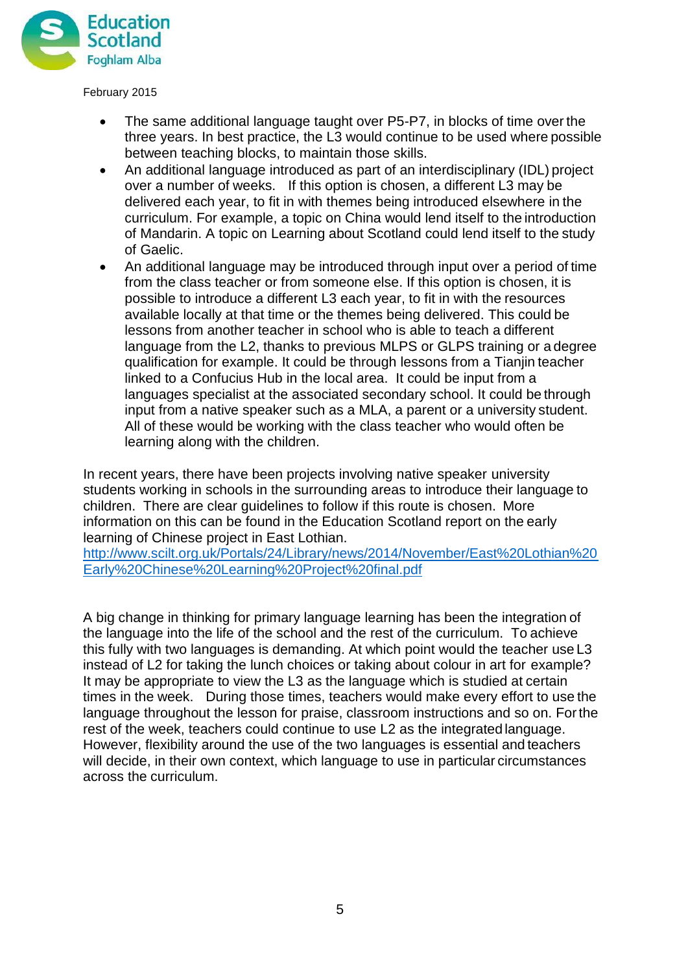

- The same additional language taught over P5-P7, in blocks of time over the three years. In best practice, the L3 would continue to be used where possible between teaching blocks, to maintain those skills.
- An additional language introduced as part of an interdisciplinary (IDL) project over a number of weeks. If this option is chosen, a different L3 may be delivered each year, to fit in with themes being introduced elsewhere in the curriculum. For example, a topic on China would lend itself to the introduction of Mandarin. A topic on Learning about Scotland could lend itself to the study of Gaelic.
- An additional language may be introduced through input over a period of time from the class teacher or from someone else. If this option is chosen, it is possible to introduce a different L3 each year, to fit in with the resources available locally at that time or the themes being delivered. This could be lessons from another teacher in school who is able to teach a different language from the L2, thanks to previous MLPS or GLPS training or a degree qualification for example. It could be through lessons from a Tianjin teacher linked to a Confucius Hub in the local area. It could be input from a languages specialist at the associated secondary school. It could be through input from a native speaker such as a MLA, a parent or a university student. All of these would be working with the class teacher who would often be learning along with the children.

In recent years, there have been projects involving native speaker university students working in schools in the surrounding areas to introduce their language to children. There are clear guidelines to follow if this route is chosen. More information on this can be found in the Education Scotland report on the early learning of Chinese project in East Lothian.

[http://www.scilt.org.uk/Portals/24/Library/news/2014/November/East%20Lothian%20](http://www.scilt.org.uk/Portals/24/Library/news/2014/November/East%20Lothian%20Early%20Chinese%20Learning%20Project%20final.pdf) [Early%20Chinese%20Learning%20Project%20final.pdf](http://www.scilt.org.uk/Portals/24/Library/news/2014/November/East%20Lothian%20Early%20Chinese%20Learning%20Project%20final.pdf)

A big change in thinking for primary language learning has been the integration of the language into the life of the school and the rest of the curriculum. To achieve this fully with two languages is demanding. At which point would the teacher use L3 instead of L2 for taking the lunch choices or taking about colour in art for example? It may be appropriate to view the L3 as the language which is studied at certain times in the week. During those times, teachers would make every effort to use the language throughout the lesson for praise, classroom instructions and so on. Forthe rest of the week, teachers could continue to use L2 as the integrated language. However, flexibility around the use of the two languages is essential and teachers will decide, in their own context, which language to use in particular circumstances across the curriculum.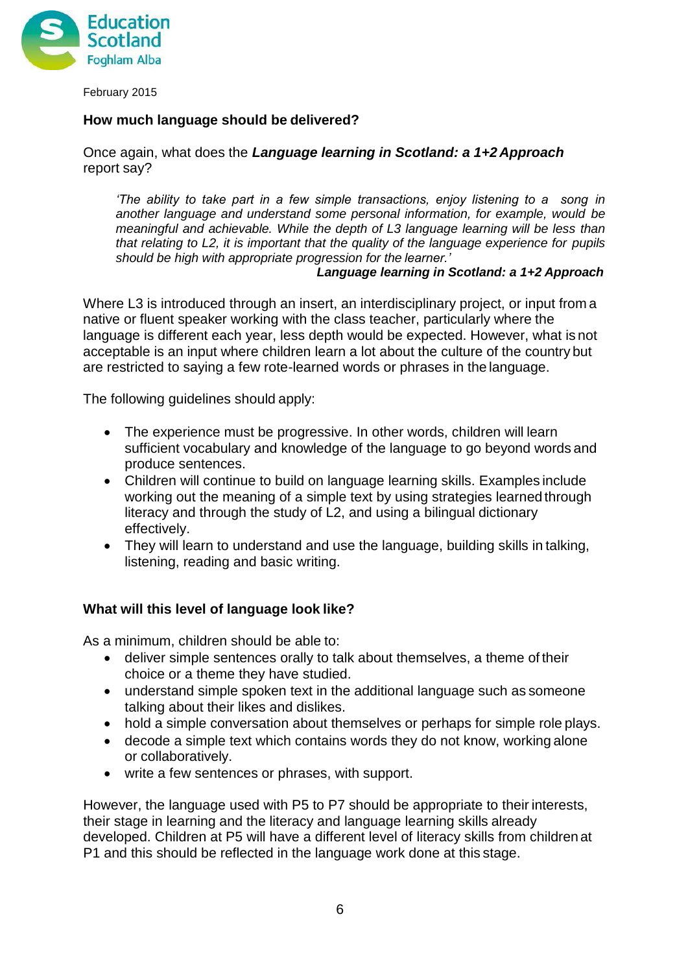

#### **How much language should be delivered?**

Once again, what does the *Language learning in Scotland: a 1+2 Approach* report say?

*'The ability to take part in a few simple transactions, enjoy listening to a song in another language and understand some personal information, for example, would be meaningful and achievable. While the depth of L3 language learning will be less than that relating to L2, it is important that the quality of the language experience for pupils should be high with appropriate progression for the learner.'*

*Language learning in Scotland: a 1+2 Approach*

Where L3 is introduced through an insert, an interdisciplinary project, or input from a native or fluent speaker working with the class teacher, particularly where the language is different each year, less depth would be expected. However, what is not acceptable is an input where children learn a lot about the culture of the country but are restricted to saying a few rote-learned words or phrases in the language.

The following guidelines should apply:

- The experience must be progressive. In other words, children will learn sufficient vocabulary and knowledge of the language to go beyond words and produce sentences.
- Children will continue to build on language learning skills. Examples include working out the meaning of a simple text by using strategies learned through literacy and through the study of L2, and using a bilingual dictionary effectively.
- They will learn to understand and use the language, building skills in talking, listening, reading and basic writing.

#### **What will this level of language look like?**

As a minimum, children should be able to:

- deliver simple sentences orally to talk about themselves, a theme of their choice or a theme they have studied.
- understand simple spoken text in the additional language such as someone talking about their likes and dislikes.
- hold a simple conversation about themselves or perhaps for simple role plays.
- decode a simple text which contains words they do not know, working alone or collaboratively.
- write a few sentences or phrases, with support.

However, the language used with P5 to P7 should be appropriate to their interests, their stage in learning and the literacy and language learning skills already developed. Children at P5 will have a different level of literacy skills from children at P1 and this should be reflected in the language work done at this stage.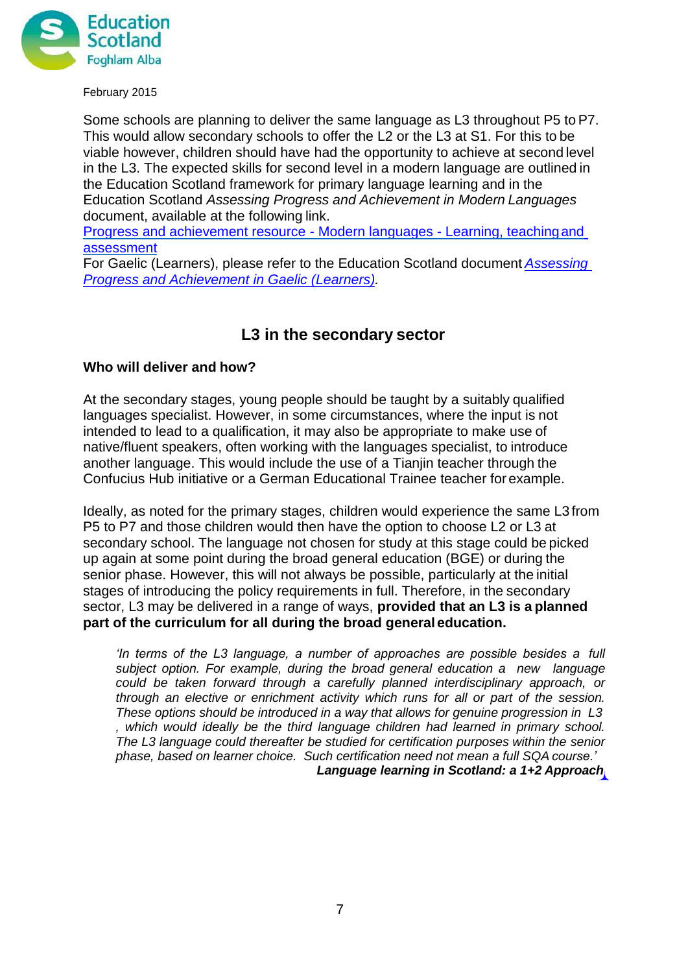

Some schools are planning to deliver the same language as L3 throughout P5 toP7. This would allow secondary schools to offer the L2 or the L3 at S1. For this to be viable however, children should have had the opportunity to achieve at second level in the L3. The expected skills for second level in a modern language are outlined in the Education Scotland framework for primary language learning and in the Education Scotland *Assessing Progress and Achievement in Modern Languages*  document, available at the following link.

[Progress and achievement resource -](https://www.scilt.org.uk/News/NewsView/tabid/1311/articleType/ArticleView/articleId/6277/Modern-Languages-Assessing-progress-and-achievement-in-significant-aspects-of-learning.aspx) Modern languages - Learning, teachingand [assessment](https://www.scilt.org.uk/News/NewsView/tabid/1311/articleType/ArticleView/articleId/6277/Modern-Languages-Assessing-progress-and-achievement-in-significant-aspects-of-learning.aspx)

For Gaelic (Learners), please refer to the Education Scotland document *[Assessing](https://education.gov.scot/improvement/Documents/assess7-progression-Frameworks-LiteracyG%c3%a0idhlig.pdf)  [Progress and Achievement in Gaelic](https://education.gov.scot/improvement/Documents/assess7-progression-Frameworks-LiteracyG%c3%a0idhlig.pdf) (Learners).*

## **L3 in the secondary sector**

#### **Who will deliver and how?**

At the secondary stages, young people should be taught by a suitably qualified languages specialist. However, in some circumstances, where the input is not intended to lead to a qualification, it may also be appropriate to make use of native/fluent speakers, often working with the languages specialist, to introduce another language. This would include the use of a Tianjin teacher through the Confucius Hub initiative or a German Educational Trainee teacher for example.

Ideally, as noted for the primary stages, children would experience the same L3 from P5 to P7 and those children would then have the option to choose L2 or L3 at secondary school. The language not chosen for study at this stage could be picked up again at some point during the broad general education (BGE) or during the senior phase. However, this will not always be possible, particularly at the initial stages of introducing the policy requirements in full. Therefore, in the secondary sector, L3 may be delivered in a range of ways, **provided that an L3 is a planned part of the curriculum for all during the broad general education.**

*'In terms of the L3 language, a number of approaches are possible besides a full subject option. For example, during the broad general education a new language could be taken forward through a carefully planned interdisciplinary approach, or through an elective or enrichment activity which runs for all or part of the session. These options should be introduced in a way that allows for genuine progression in L3 , which would ideally be the third language children had learned in primary school. The L3 language could thereafter be studied for certification purposes within the senior phase, based on learner choice. Such certification need not mean a full SQAcourse.' Language learning in Scotland: a 1+2 Approach*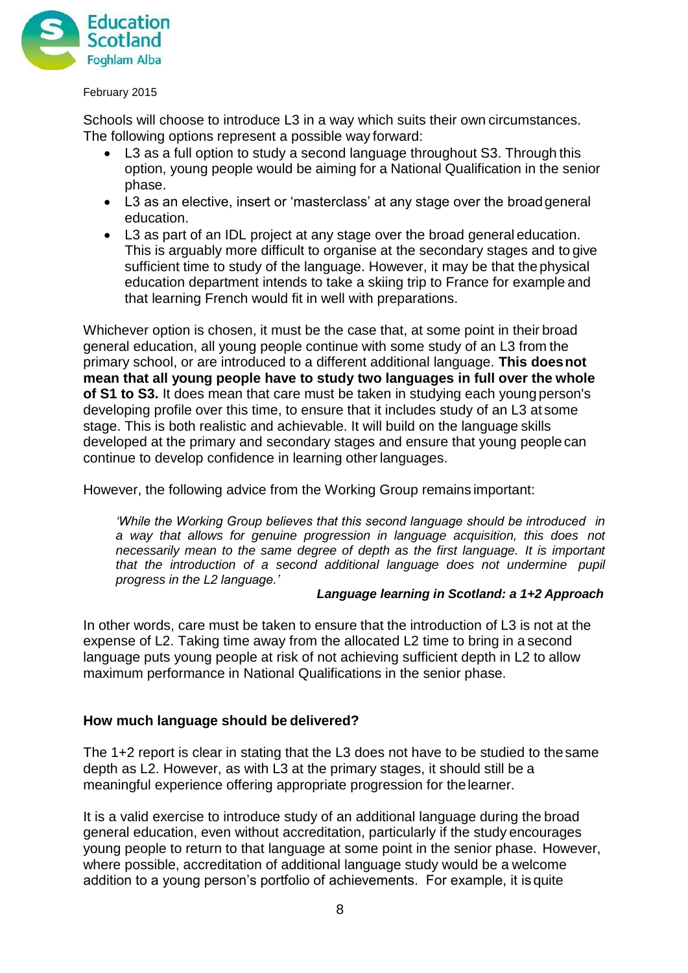

Schools will choose to introduce L3 in a way which suits their own circumstances. The following options represent a possible way forward:

- L3 as a full option to study a second language throughout S3. Through this option, young people would be aiming for a National Qualification in the senior phase.
- L3 as an elective, insert or 'masterclass' at any stage over the broadgeneral education.
- L3 as part of an IDL project at any stage over the broad general education. This is arguably more difficult to organise at the secondary stages and to give sufficient time to study of the language. However, it may be that the physical education department intends to take a skiing trip to France for example and that learning French would fit in well with preparations.

Whichever option is chosen, it must be the case that, at some point in their broad general education, all young people continue with some study of an L3 from the primary school, or are introduced to a different additional language. **This doesnot mean that all young people have to study two languages in full over the whole of S1 to S3.** It does mean that care must be taken in studying each young person's developing profile over this time, to ensure that it includes study of an L3 at some stage. This is both realistic and achievable. It will build on the language skills developed at the primary and secondary stages and ensure that young people can continue to develop confidence in learning other languages.

However, the following advice from the Working Group remains important:

*'While the Working Group believes that this second language should be introduced in a way that allows for genuine progression in language acquisition, this does not necessarily mean to the same degree of depth as the first language. It is important that the introduction of a second additional language does not undermine pupil progress in the L2 language.'*

#### *Language learning in Scotland: a 1+2 Approach*

In other words, care must be taken to ensure that the introduction of L3 is not at the expense of L2. Taking time away from the allocated L2 time to bring in a second language puts young people at risk of not achieving sufficient depth in L2 to allow maximum performance in National Qualifications in the senior phase.

#### **How much language should be delivered?**

The 1+2 report is clear in stating that the L3 does not have to be studied to thesame depth as L2. However, as with L3 at the primary stages, it should still be a meaningful experience offering appropriate progression for thelearner.

It is a valid exercise to introduce study of an additional language during the broad general education, even without accreditation, particularly if the study encourages young people to return to that language at some point in the senior phase. However, where possible, accreditation of additional language study would be a welcome addition to a young person's portfolio of achievements. For example, it is quite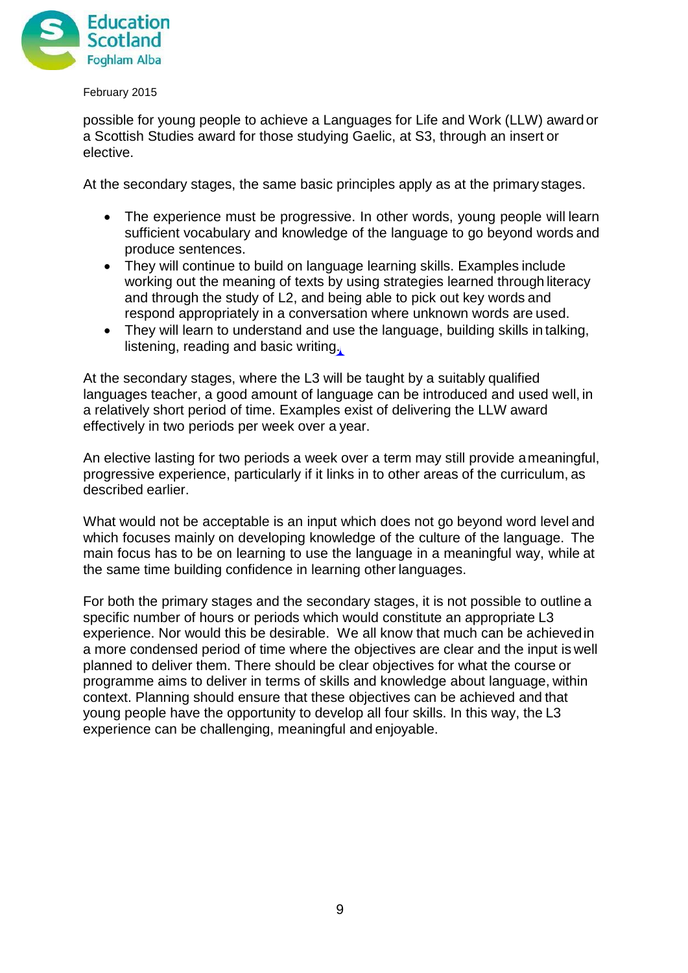

possible for young people to achieve a Languages for Life and Work (LLW) awardor a Scottish Studies award for those studying Gaelic, at S3, through an insert or elective.

At the secondary stages, the same basic principles apply as at the primary stages.

- The experience must be progressive. In other words, young people will learn sufficient vocabulary and knowledge of the language to go beyond words and produce sentences.
- They will continue to build on language learning skills. Examples include working out the meaning of texts by using strategies learned through literacy and through the study of L2, and being able to pick out key words and respond appropriately in a conversation where unknown words are used.
- They will learn to understand and use the language, building skills in talking, listening, reading and basic writing.

At the secondary stages, where the L3 will be taught by a suitably qualified languages teacher, a good amount of language can be introduced and used well, in a relatively short period of time. Examples exist of delivering the LLW award effectively in two periods per week over a year.

An elective lasting for two periods a week over a term may still provide ameaningful, progressive experience, particularly if it links in to other areas of the curriculum, as described earlier.

What would not be acceptable is an input which does not go beyond word level and which focuses mainly on developing knowledge of the culture of the language. The main focus has to be on learning to use the language in a meaningful way, while at the same time building confidence in learning other languages.

For both the primary stages and the secondary stages, it is not possible to outline a specific number of hours or periods which would constitute an appropriate L3 experience. Nor would this be desirable. We all know that much can be achievedin a more condensed period of time where the objectives are clear and the input is well planned to deliver them. There should be clear objectives for what the course or programme aims to deliver in terms of skills and knowledge about language, within context. Planning should ensure that these objectives can be achieved and that young people have the opportunity to develop all four skills. In this way, the L3 experience can be challenging, meaningful and enjoyable.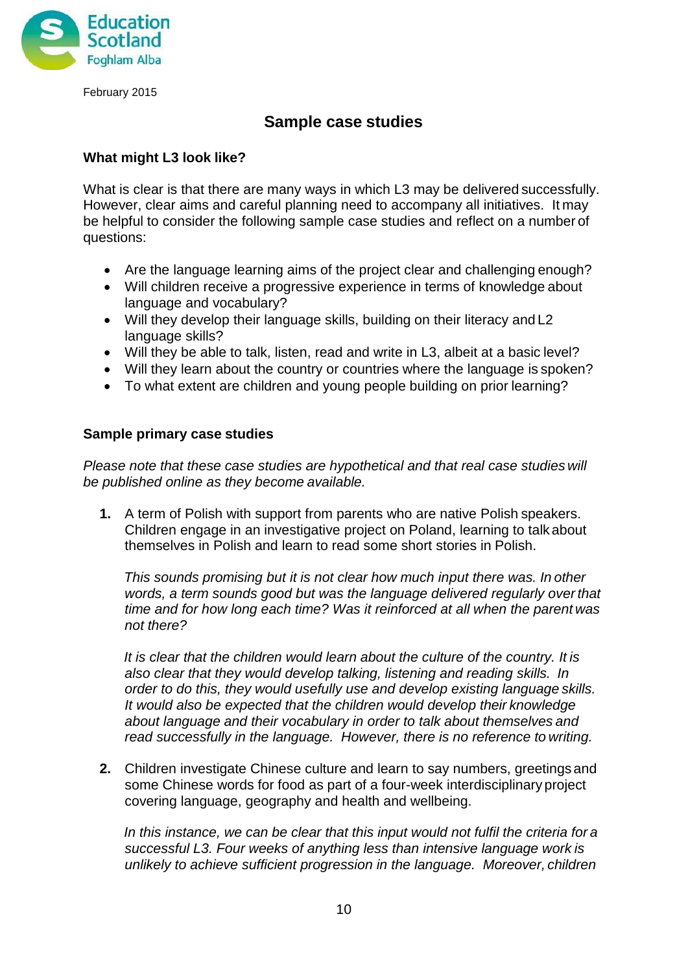

## **Sample case studies**

### **What might L3 look like?**

What is clear is that there are many ways in which L3 may be delivered successfully. However, clear aims and careful planning need to accompany all initiatives. It may be helpful to consider the following sample case studies and reflect on a number of questions:

- Are the language learning aims of the project clear and challenging enough?
- Will children receive a progressive experience in terms of knowledge about language and vocabulary?
- Will they develop their language skills, building on their literacy and L2 language skills?
- Will they be able to talk, listen, read and write in L3, albeit at a basic level?
- Will they learn about the country or countries where the language is spoken?
- To what extent are children and young people building on prior learning?

#### **Sample primary case studies**

*Please note that these case studies are hypothetical and that real case studies will be published online as they become available.*

**1.** A term of Polish with support from parents who are native Polish speakers. Children engage in an investigative project on Poland, learning to talk about themselves in Polish and learn to read some short stories in Polish.

*This sounds promising but it is not clear how much input there was. In other*  words, a term sounds good but was the language delivered regularly over that *time and for how long each time? Was it reinforced at all when the parent was not there?*

*It is clear that the children would learn about the culture of the country. It is also clear that they would develop talking, listening and reading skills. In order to do this, they would usefully use and develop existing language skills. It would also be expected that the children would develop their knowledge about language and their vocabulary in order to talk about themselves and read successfully in the language. However, there is no reference to writing.*

**2.** Children investigate Chinese culture and learn to say numbers, greetings and some Chinese words for food as part of a four-week interdisciplinary project covering language, geography and health and wellbeing.

*In this instance, we can be clear that this input would not fulfil the criteria for a successful L3. Four weeks of anything less than intensive language work is unlikely to achieve sufficient progression in the language. Moreover, children*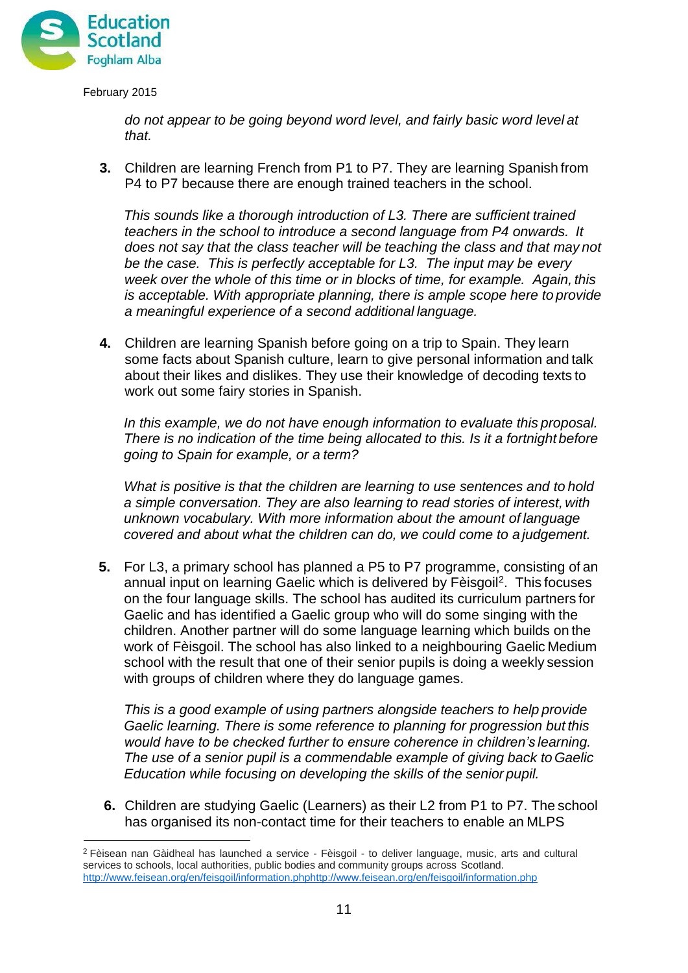

*do not appear to be going beyond word level, and fairly basic word level at that.*

**3.** Children are learning French from P1 to P7. They are learning Spanish from P4 to P7 because there are enough trained teachers in the school.

*This sounds like a thorough introduction of L3. There are sufficient trained teachers in the school to introduce a second language from P4 onwards. It does not say that the class teacher will be teaching the class and that may not be the case. This is perfectly acceptable for L3. The input may be every week over the whole of this time or in blocks of time, for example. Again, this is acceptable. With appropriate planning, there is ample scope here to provide a meaningful experience of a second additional language.*

**4.** Children are learning Spanish before going on a trip to Spain. They learn some facts about Spanish culture, learn to give personal information and talk about their likes and dislikes. They use their knowledge of decoding texts to work out some fairy stories in Spanish.

*In this example, we do not have enough information to evaluate this proposal. There is no indication of the time being allocated to this. Is it a fortnight before going to Spain for example, or a term?*

*What is positive is that the children are learning to use sentences and to hold a simple conversation. They are also learning to read stories of interest, with unknown vocabulary. With more information about the amount of language covered and about what the children can do, we could come to a judgement.*

**5.** For L3, a primary school has planned a P5 to P7 programme, consisting of an annual input on learning Gaelic which is delivered by Fèisgoil<sup>[2](#page-10-0)</sup>. This focuses on the four language skills. The school has audited its curriculum partners for Gaelic and has identified a Gaelic group who will do some singing with the children. Another partner will do some language learning which builds on the work of Fèisgoil. The school has also linked to a neighbouring Gaelic Medium school with the result that one of their senior pupils is doing a weekly session with groups of children where they do language games.

*This is a good example of using partners alongside teachers to help provide Gaelic learning. There is some reference to planning for progression but this would have to be checked further to ensure coherence in children's learning. The use of a senior pupil is a commendable example of giving back toGaelic Education while focusing on developing the skills of the senior pupil.*

**6.** Children are studying Gaelic (Learners) as their L2 from P1 to P7. The school has organised its non-contact time for their teachers to enable an MLPS

<span id="page-10-0"></span><sup>2</sup> Fèisean nan Gàidheal has launched a service - Fèisgoil - to deliver language, music, arts and cultural services to schools, local authorities, public bodies and community groups across Scotland. http://www.feisean.org/en/feisgoil/informat[ion.phphtt](http://www.feisean.org/en/feisgoil/information.php)p://[www.feisean.org/en/feisgoil/information.php](http://www.feisean.org/en/feisgoil/information.php)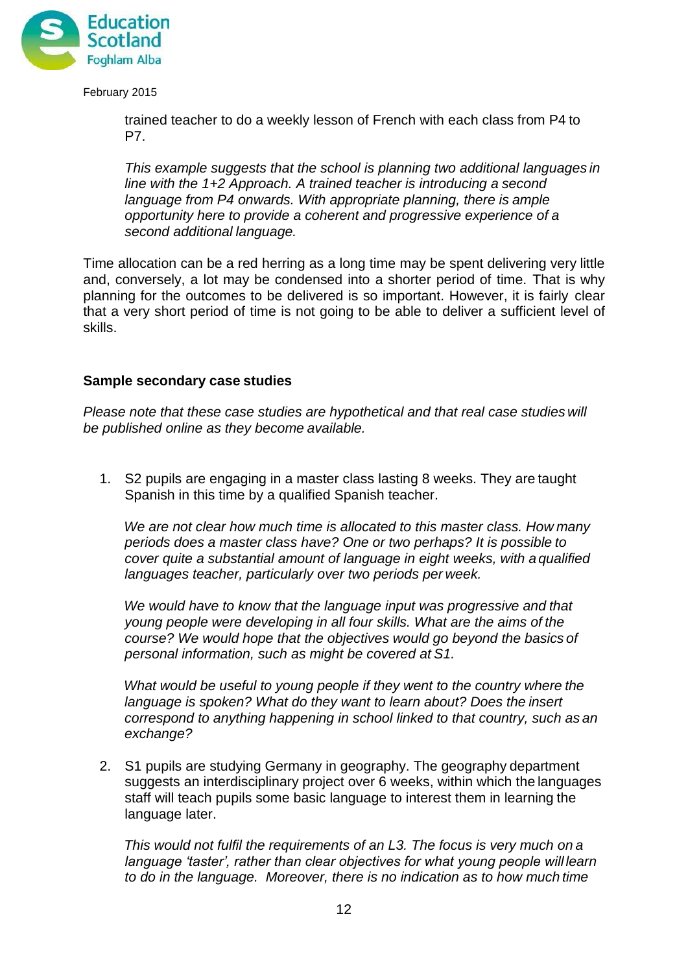

trained teacher to do a weekly lesson of French with each class from P4 to P7.

*This example suggests that the school is planning two additional languages in line with the 1+2 Approach. A trained teacher is introducing a second language from P4 onwards. With appropriate planning, there is ample opportunity here to provide a coherent and progressive experience of a second additional language.*

Time allocation can be a red herring as a long time may be spent delivering very little and, conversely, a lot may be condensed into a shorter period of time. That is why planning for the outcomes to be delivered is so important. However, it is fairly clear that a very short period of time is not going to be able to deliver a sufficient level of skills.

#### **Sample secondary case studies**

*Please note that these case studies are hypothetical and that real case studies will be published online as they become available.*

1. S2 pupils are engaging in a master class lasting 8 weeks. They are taught Spanish in this time by a qualified Spanish teacher.

*We are not clear how much time is allocated to this master class. How many periods does a master class have? One or two perhaps? It is possible to cover quite a substantial amount of language in eight weeks, with a qualified languages teacher, particularly over two periods per week.*

*We would have to know that the language input was progressive and that young people were developing in all four skills. What are the aims of the course? We would hope that the objectives would go beyond the basics of personal information, such as might be covered at S1.*

*What would be useful to young people if they went to the country where the language is spoken? What do they want to learn about? Does the insert correspond to anything happening in school linked to that country, such as an exchange?*

2. S1 pupils are studying Germany in geography. The geography department suggests an interdisciplinary project over 6 weeks, within which the languages staff will teach pupils some basic language to interest them in learning the language later.

*This would not fulfil the requirements of an L3. The focus is very much on a language 'taster', rather than clear objectives for what young people will learn to do in the language. Moreover, there is no indication as to how much time*